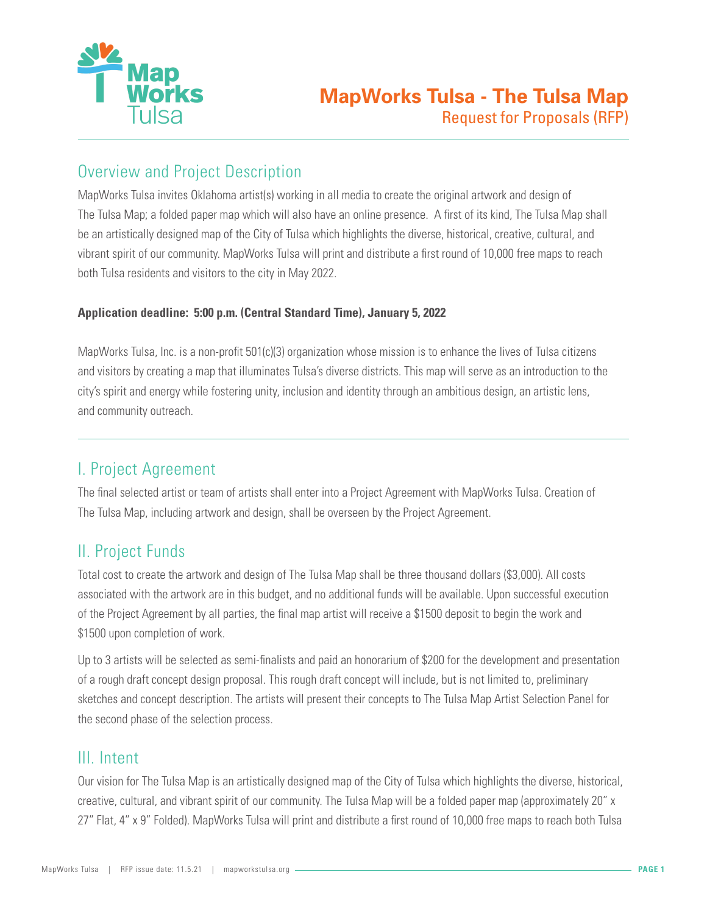

# Overview and Project Description

MapWorks Tulsa invites Oklahoma artist(s) working in all media to create the original artwork and design of The Tulsa Map; a folded paper map which will also have an online presence. A first of its kind, The Tulsa Map shall be an artistically designed map of the City of Tulsa which highlights the diverse, historical, creative, cultural, and vibrant spirit of our community. MapWorks Tulsa will print and distribute a first round of 10,000 free maps to reach both Tulsa residents and visitors to the city in May 2022.

### **Application deadline: 5:00 p.m. (Central Standard Time), January 5, 2022**

MapWorks Tulsa, Inc. is a non-profit 501(c)(3) organization whose mission is to enhance the lives of Tulsa citizens and visitors by creating a map that illuminates Tulsa's diverse districts. This map will serve as an introduction to the city's spirit and energy while fostering unity, inclusion and identity through an ambitious design, an artistic lens, and community outreach.

# I. Project Agreement

The final selected artist or team of artists shall enter into a Project Agreement with MapWorks Tulsa. Creation of The Tulsa Map, including artwork and design, shall be overseen by the Project Agreement.

# II. Project Funds

Total cost to create the artwork and design of The Tulsa Map shall be three thousand dollars (\$3,000). All costs associated with the artwork are in this budget, and no additional funds will be available. Upon successful execution of the Project Agreement by all parties, the final map artist will receive a \$1500 deposit to begin the work and \$1500 upon completion of work.

Up to 3 artists will be selected as semi-finalists and paid an honorarium of \$200 for the development and presentation of a rough draft concept design proposal. This rough draft concept will include, but is not limited to, preliminary sketches and concept description. The artists will present their concepts to The Tulsa Map Artist Selection Panel for the second phase of the selection process.

# III. Intent

Our vision for The Tulsa Map is an artistically designed map of the City of Tulsa which highlights the diverse, historical, creative, cultural, and vibrant spirit of our community. The Tulsa Map will be a folded paper map (approximately 20" x 27" Flat, 4" x 9" Folded). MapWorks Tulsa will print and distribute a first round of 10,000 free maps to reach both Tulsa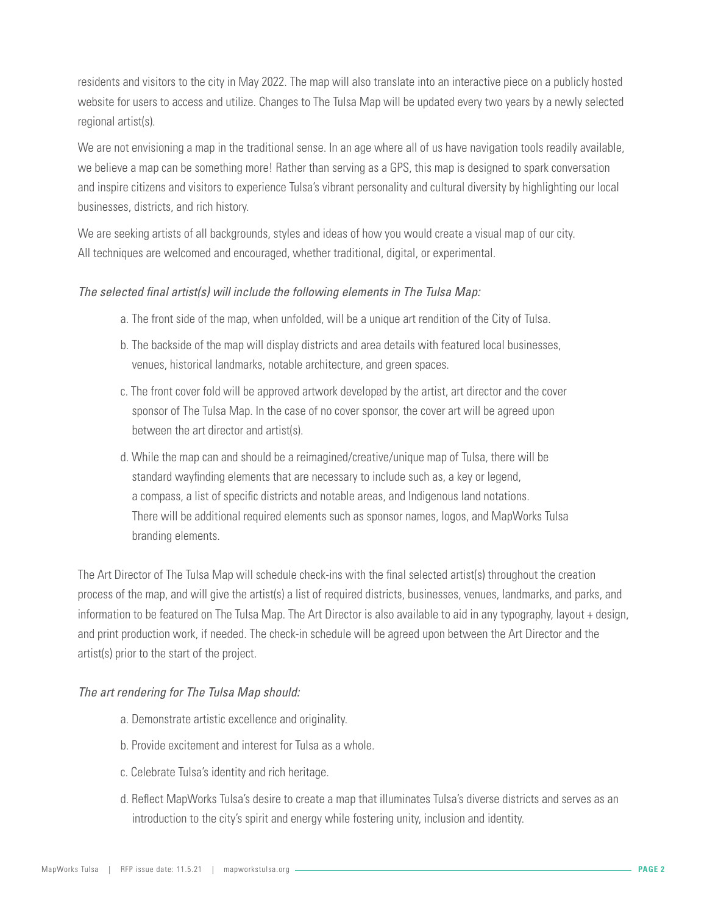residents and visitors to the city in May 2022. The map will also translate into an interactive piece on a publicly hosted website for users to access and utilize. Changes to The Tulsa Map will be updated every two years by a newly selected regional artist(s).

We are not envisioning a map in the traditional sense. In an age where all of us have navigation tools readily available, we believe a map can be something more! Rather than serving as a GPS, this map is designed to spark conversation and inspire citizens and visitors to experience Tulsa's vibrant personality and cultural diversity by highlighting our local businesses, districts, and rich history.

We are seeking artists of all backgrounds, styles and ideas of how you would create a visual map of our city. All techniques are welcomed and encouraged, whether traditional, digital, or experimental.

### *The selected final artist(s) will include the following elements in The Tulsa Map:*

- a. The front side of the map, when unfolded, will be a unique art rendition of the City of Tulsa.
- b. The backside of the map will display districts and area details with featured local businesses, venues, historical landmarks, notable architecture, and green spaces.
- c. The front cover fold will be approved artwork developed by the artist, art director and the cover sponsor of The Tulsa Map. In the case of no cover sponsor, the cover art will be agreed upon between the art director and artist(s).
- d. While the map can and should be a reimagined/creative/unique map of Tulsa, there will be standard wayfinding elements that are necessary to include such as, a key or legend, a compass, a list of specific districts and notable areas, and Indigenous land notations. There will be additional required elements such as sponsor names, logos, and MapWorks Tulsa branding elements.

The Art Director of The Tulsa Map will schedule check-ins with the final selected artist(s) throughout the creation process of the map, and will give the artist(s) a list of required districts, businesses, venues, landmarks, and parks, and information to be featured on The Tulsa Map. The Art Director is also available to aid in any typography, layout + design, and print production work, if needed. The check-in schedule will be agreed upon between the Art Director and the artist(s) prior to the start of the project.

### *The art rendering for The Tulsa Map should:*

- a. Demonstrate artistic excellence and originality.
- b. Provide excitement and interest for Tulsa as a whole.
- c. Celebrate Tulsa's identity and rich heritage.
- d. Reflect MapWorks Tulsa's desire to create a map that illuminates Tulsa's diverse districts and serves as an introduction to the city's spirit and energy while fostering unity, inclusion and identity.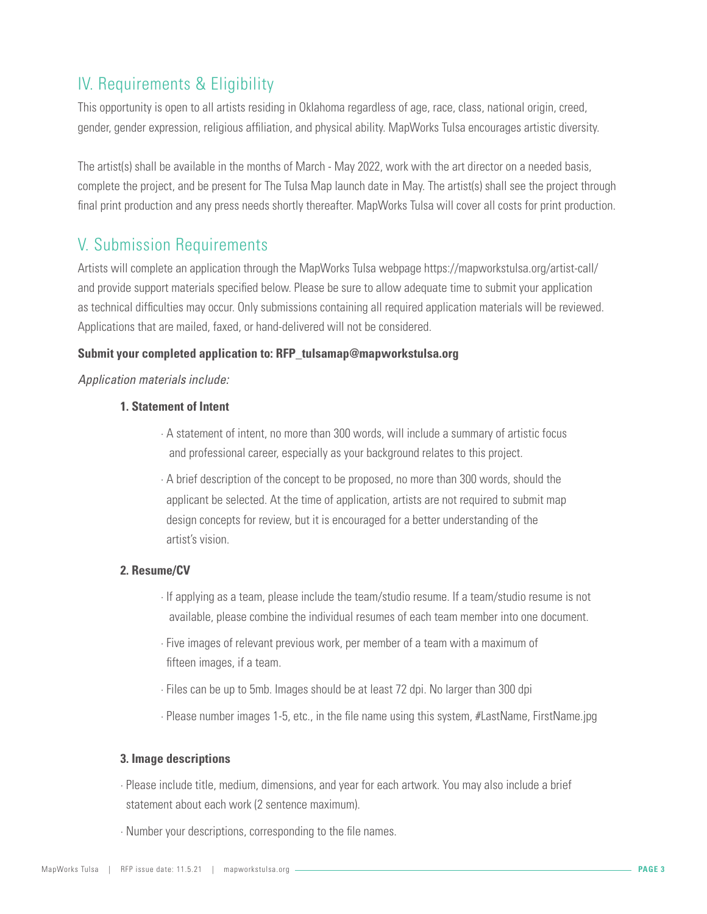# IV. Requirements & Eligibility

This opportunity is open to all artists residing in Oklahoma regardless of age, race, class, national origin, creed, gender, gender expression, religious affiliation, and physical ability. MapWorks Tulsa encourages artistic diversity.

The artist(s) shall be available in the months of March - May 2022, work with the art director on a needed basis, complete the project, and be present for The Tulsa Map launch date in May. The artist(s) shall see the project through final print production and any press needs shortly thereafter. MapWorks Tulsa will cover all costs for print production.

# V. Submission Requirements

Artists will complete an application through the MapWorks Tulsa webpage https://mapworkstulsa.org/artist-call/ and provide support materials specified below. Please be sure to allow adequate time to submit your application as technical difficulties may occur. Only submissions containing all required application materials will be reviewed. Applications that are mailed, faxed, or hand-delivered will not be considered.

### **Submit your completed application to: RFP\_tulsamap@mapworkstulsa.org**

#### *Application materials include:*

### **1. Statement of Intent**

- · A statement of intent, no more than 300 words, will include a summary of artistic focus and professional career, especially as your background relates to this project.
- · A brief description of the concept to be proposed, no more than 300 words, should the applicant be selected. At the time of application, artists are not required to submit map design concepts for review, but it is encouraged for a better understanding of the artist's vision.

### **2. Resume/CV**

- · If applying as a team, please include the team/studio resume. If a team/studio resume is not available, please combine the individual resumes of each team member into one document.
- · Five images of relevant previous work, per member of a team with a maximum of fifteen images, if a team.
- · Files can be up to 5mb. Images should be at least 72 dpi. No larger than 300 dpi
- · Please number images 1-5, etc., in the file name using this system, #LastName, FirstName.jpg

#### **3. Image descriptions**

- · Please include title, medium, dimensions, and year for each artwork. You may also include a brief statement about each work (2 sentence maximum).
- · Number your descriptions, corresponding to the file names.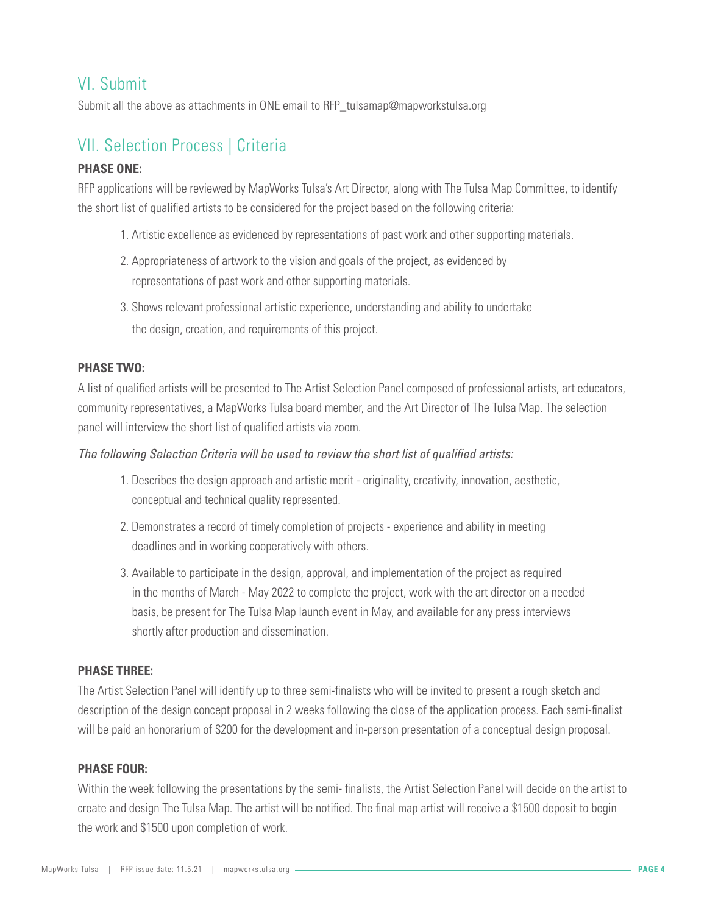# VI. Submit

Submit all the above as attachments in ONE email to RFP\_tulsamap@mapworkstulsa.org

# VII. Selection Process | Criteria

### **PHASE ONE:**

RFP applications will be reviewed by MapWorks Tulsa's Art Director, along with The Tulsa Map Committee, to identify the short list of qualified artists to be considered for the project based on the following criteria:

- 1. Artistic excellence as evidenced by representations of past work and other supporting materials.
- 2. Appropriateness of artwork to the vision and goals of the project, as evidenced by representations of past work and other supporting materials.
- 3. Shows relevant professional artistic experience, understanding and ability to undertake the design, creation, and requirements of this project.

### **PHASE TWO:**

A list of qualified artists will be presented to The Artist Selection Panel composed of professional artists, art educators, community representatives, a MapWorks Tulsa board member, and the Art Director of The Tulsa Map. The selection panel will interview the short list of qualified artists via zoom.

### *The following Selection Criteria will be used to review the short list of qualified artists:*

- 1. Describes the design approach and artistic merit originality, creativity, innovation, aesthetic, conceptual and technical quality represented.
- 2. Demonstrates a record of timely completion of projects experience and ability in meeting deadlines and in working cooperatively with others.
- 3. Available to participate in the design, approval, and implementation of the project as required in the months of March - May 2022 to complete the project, work with the art director on a needed basis, be present for The Tulsa Map launch event in May, and available for any press interviews shortly after production and dissemination.

### **PHASE THREE:**

The Artist Selection Panel will identify up to three semi-finalists who will be invited to present a rough sketch and description of the design concept proposal in 2 weeks following the close of the application process. Each semi-finalist will be paid an honorarium of \$200 for the development and in-person presentation of a conceptual design proposal.

### **PHASE FOUR:**

Within the week following the presentations by the semi- finalists, the Artist Selection Panel will decide on the artist to create and design The Tulsa Map. The artist will be notified. The final map artist will receive a \$1500 deposit to begin the work and \$1500 upon completion of work.